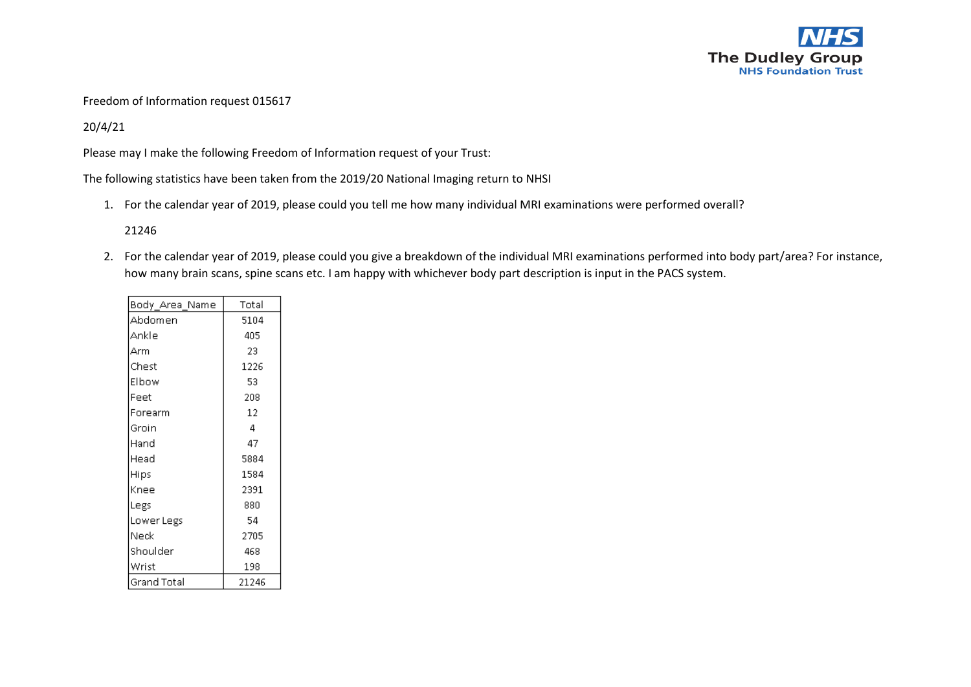

## Freedom of Information request 015617

## 20/4/21

Please may I make the following Freedom of Information request of your Trust:

The following statistics have been taken from the 2019/20 National Imaging return to NHSI

1. For the calendar year of 2019, please could you tell me how many individual MRI examinations were performed overall?

21246

2. For the calendar year of 2019, please could you give a breakdown of the individual MRI examinations performed into body part/area? For instance, how many brain scans, spine scans etc. I am happy with whichever body part description is input in the PACS system.

| Body_Area_Name | Total |
|----------------|-------|
| Abdomen        | 5104  |
| Ankle          | 405   |
| Arm            | 23    |
| Chest          | 1226  |
| Elbow          | 53    |
| Feet           | 208   |
| Forearm        | 12    |
| Groin          | 4     |
| Hand           | 47    |
| Head           | 5884  |
| Hips           | 1584  |
| Knee           | 2391  |
| Legs           | 880   |
| Lower Legs     | 54    |
| Neck           | 2705  |
| Shoulder       | 468   |
| Wrist          | 198   |
| Grand Total    | 21246 |